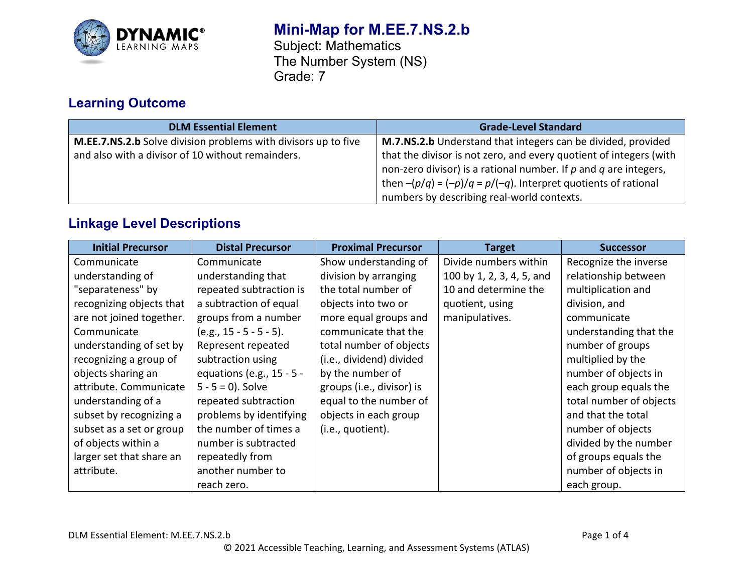

# **Mini-Map for M.EE.7.NS.2.b**

Subject: Mathematics The Number System (NS) Grade: 7

## **Learning Outcome**

| <b>DLM Essential Element</b>                                   | <b>Grade-Level Standard</b>                                          |
|----------------------------------------------------------------|----------------------------------------------------------------------|
| M.EE.7.NS.2.b Solve division problems with divisors up to five | M.7.NS.2.b Understand that integers can be divided, provided         |
| and also with a divisor of 10 without remainders.              | that the divisor is not zero, and every quotient of integers (with   |
|                                                                | non-zero divisor) is a rational number. If $p$ and $q$ are integers, |
|                                                                | then $-(p/q) = (-p)/q = p/(-q)$ . Interpret quotients of rational    |
|                                                                | numbers by describing real-world contexts.                           |

## **Linkage Level Descriptions**

| <b>Initial Precursor</b> | <b>Distal Precursor</b>   | <b>Proximal Precursor</b> | <b>Target</b>             | <b>Successor</b>        |
|--------------------------|---------------------------|---------------------------|---------------------------|-------------------------|
| Communicate              | Communicate               | Show understanding of     | Divide numbers within     | Recognize the inverse   |
| understanding of         | understanding that        | division by arranging     | 100 by 1, 2, 3, 4, 5, and | relationship between    |
| "separateness" by        | repeated subtraction is   | the total number of       | 10 and determine the      | multiplication and      |
| recognizing objects that | a subtraction of equal    | objects into two or       | quotient, using           | division, and           |
| are not joined together. | groups from a number      | more equal groups and     | manipulatives.            | communicate             |
| Communicate              | $(e.g., 15 - 5 - 5 - 5).$ | communicate that the      |                           | understanding that the  |
| understanding of set by  | Represent repeated        | total number of objects   |                           | number of groups        |
| recognizing a group of   | subtraction using         | (i.e., dividend) divided  |                           | multiplied by the       |
| objects sharing an       | equations (e.g., 15 - 5 - | by the number of          |                           | number of objects in    |
| attribute. Communicate   | $5 - 5 = 0$ ). Solve      | groups (i.e., divisor) is |                           | each group equals the   |
| understanding of a       | repeated subtraction      | equal to the number of    |                           | total number of objects |
| subset by recognizing a  | problems by identifying   | objects in each group     |                           | and that the total      |
| subset as a set or group | the number of times a     | (i.e., quotient).         |                           | number of objects       |
| of objects within a      | number is subtracted      |                           |                           | divided by the number   |
| larger set that share an | repeatedly from           |                           |                           | of groups equals the    |
| attribute.               | another number to         |                           |                           | number of objects in    |
|                          | reach zero.               |                           |                           | each group.             |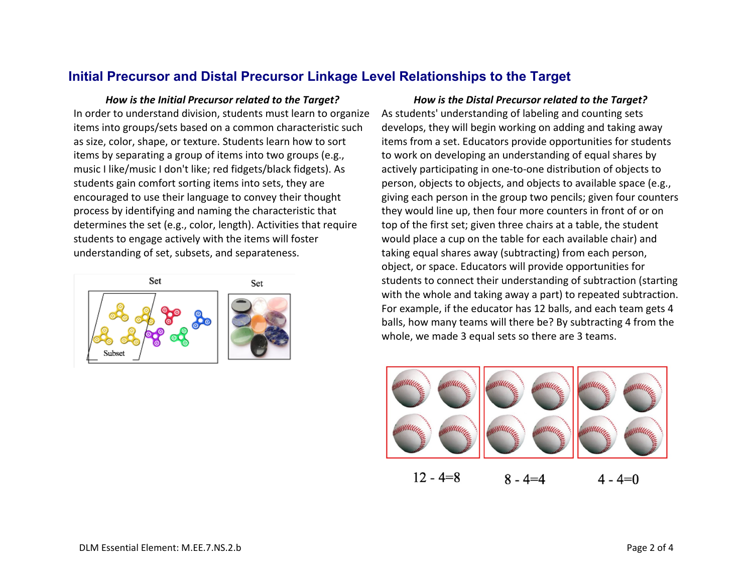#### **Initial Precursor and Distal Precursor Linkage Level Relationships to the Target**

*How is the Initial Precursor related to the Target? How is the Distal Precursor related to the Target?* In order to understand division, students must learn to organize items into groups/sets based on a common characteristic such as size, color, shape, or texture. Students learn how to sort items by separating a group of items into two groups (e.g., music I like/music I don't like; red fidgets/black fidgets). As students gain comfort sorting items into sets, they are encouraged to use their language to convey their thought process by identifying and naming the characteristic that determines the set (e.g., color, length). Activities that require students to engage actively with the items will foster understanding of set, subsets, and separateness.



As students' understanding of labeling and counting sets develops, they will begin working on adding and taking away items from a set. Educators provide opportunities for students to work on developing an understanding of equal shares by actively participating in one-to-one distribution of objects to person, objects to objects, and objects to available space (e.g., giving each person in the group two pencils; given four counters they would line up, then four more counters in front of or on top of the first set; given three chairs at a table, the student would place a cup on the table for each available chair) and taking equal shares away (subtracting) from each person, object, or space. Educators will provide opportunities for students to connect their understanding of subtraction (starting with the whole and taking away a part) to repeated subtraction. For example, if the educator has 12 balls, and each team gets 4 balls, how many teams will there be? By subtracting 4 from the whole, we made 3 equal sets so there are 3 teams.



 $12 - 4 = 8$  $8 - 4 = 4$  $4 - 4 = 0$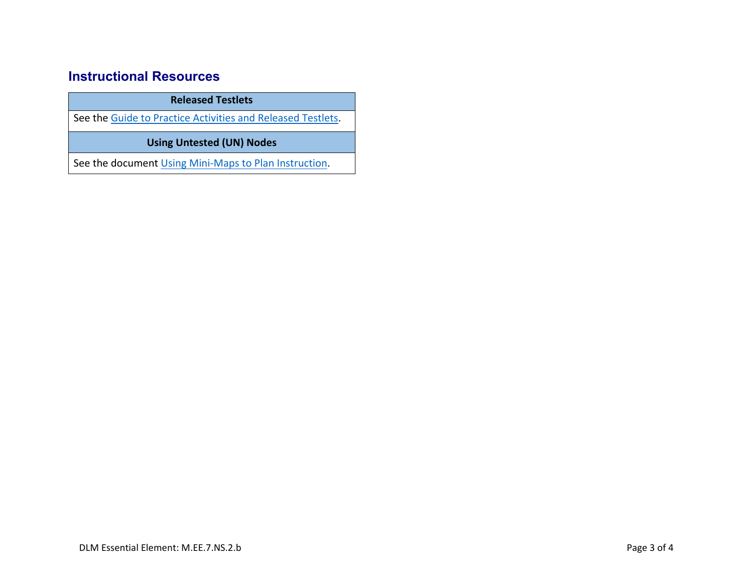#### **Instructional Resources**

**Released Testlets**

See the [Guide to Practice Activities and Released Testlets.](https://dynamiclearningmaps.org/sites/default/files/documents/Manuals_Blueprints/Guide_to_Practice_Activities_and_Released_Testlets.pdf)

**Using Untested (UN) Nodes**

See the document [Using Mini-Maps to Plan Instruction.](https://dynamiclearningmaps.org/sites/default/files/documents/Using_Mini_Maps_to_Plan_Instruction.pdf)